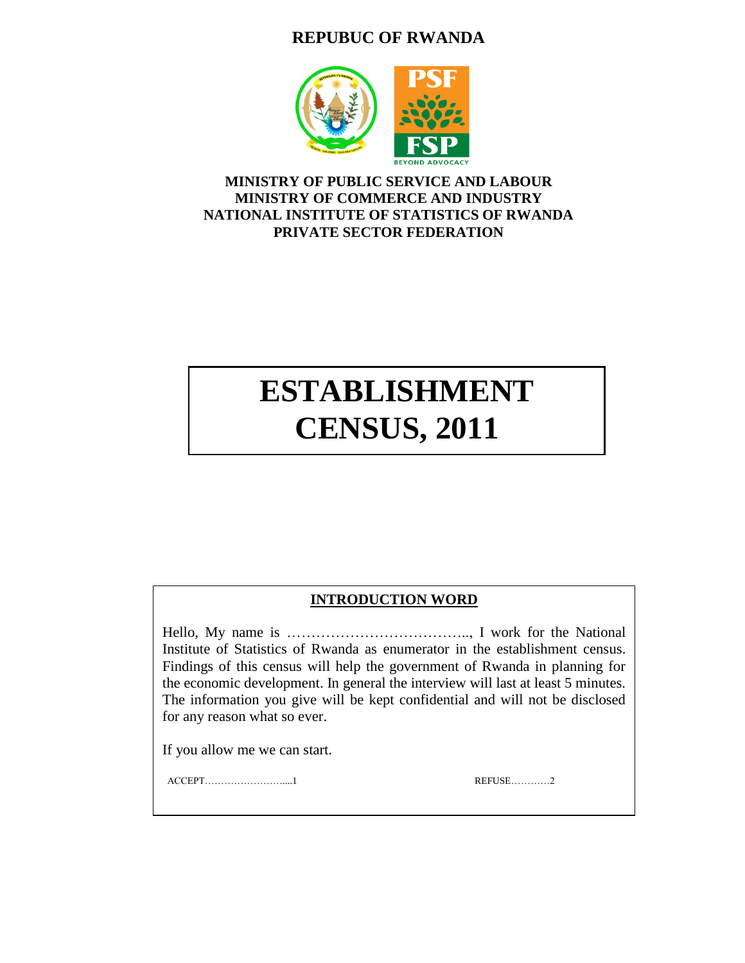# **REPUBUC OF RWANDA**



## **MINISTRY OF PUBLIC SERVICE AND LABOUR MINISTRY OF COMMERCE AND INDUSTRY NATIONAL INSTITUTE OF STATISTICS OF RWANDA PRIVATE SECTOR FEDERATION**

# **ESTABLISHMENT CENSUS, 2011**

## **INTRODUCTION WORD**

Hello, My name is ……………………………….., I work for the National Institute of Statistics of Rwanda as enumerator in the establishment census. Findings of this census will help the government of Rwanda in planning for the economic development. In general the interview will last at least 5 minutes. The information you give will be kept confidential and will not be disclosed for any reason what so ever.

If you allow me we can start.

ACCEPT……………………....1 REFUSE…………2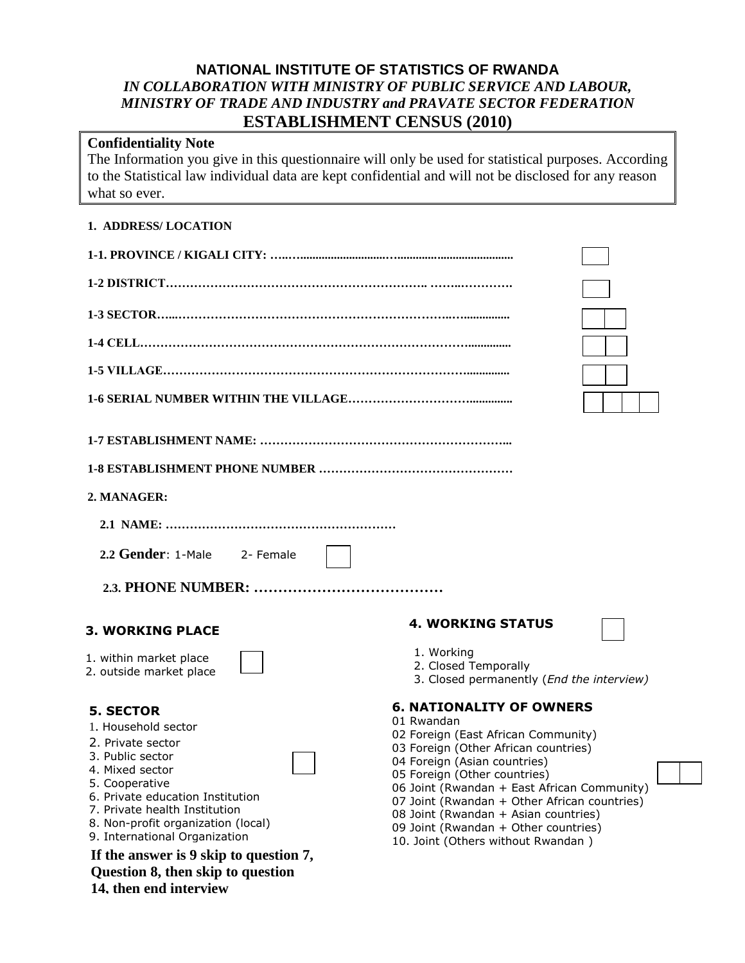## **NATIONAL INSTITUTE OF STATISTICS OF RWANDA** *IN COLLABORATION WITH MINISTRY OF PUBLIC SERVICE AND LABOUR, MINISTRY OF TRADE AND INDUSTRY and PRAVATE SECTOR FEDERATION* **ESTABLISHMENT CENSUS (2010)**

# **Confidentiality Note**

The Information you give in this questionnaire will only be used for statistical purposes. According to the Statistical law individual data are kept confidential and will not be disclosed for any reason what so ever.

## **1. ADDRESS/ LOCATION**

| 2. MANAGER:                                                                                                                                                                                                                                                                                                                                                                |                                                                                                                                                                                                                                                                                                                                                                                                                   |  |  |  |
|----------------------------------------------------------------------------------------------------------------------------------------------------------------------------------------------------------------------------------------------------------------------------------------------------------------------------------------------------------------------------|-------------------------------------------------------------------------------------------------------------------------------------------------------------------------------------------------------------------------------------------------------------------------------------------------------------------------------------------------------------------------------------------------------------------|--|--|--|
|                                                                                                                                                                                                                                                                                                                                                                            |                                                                                                                                                                                                                                                                                                                                                                                                                   |  |  |  |
| 2.2 Gender: 1-Male 2- Female                                                                                                                                                                                                                                                                                                                                               |                                                                                                                                                                                                                                                                                                                                                                                                                   |  |  |  |
|                                                                                                                                                                                                                                                                                                                                                                            |                                                                                                                                                                                                                                                                                                                                                                                                                   |  |  |  |
| <b>3. WORKING PLACE</b>                                                                                                                                                                                                                                                                                                                                                    | <b>4. WORKING STATUS</b>                                                                                                                                                                                                                                                                                                                                                                                          |  |  |  |
| 1. within market place<br>2. outside market place                                                                                                                                                                                                                                                                                                                          | 1. Working<br>2. Closed Temporally<br>3. Closed permanently (End the interview)                                                                                                                                                                                                                                                                                                                                   |  |  |  |
| <b>5. SECTOR</b><br>1. Household sector<br>2. Private sector<br>3. Public sector<br>4. Mixed sector<br>5. Cooperative<br>6. Private education Institution<br>7. Private health Institution<br>8. Non-profit organization (local)<br>9. International Organization<br>If the answer is 9 skip to question 7,<br>Question 8, then skip to question<br>14. then end interview | <b>6. NATIONALITY OF OWNERS</b><br>01 Rwandan<br>02 Foreign (East African Community)<br>03 Foreign (Other African countries)<br>04 Foreign (Asian countries)<br>05 Foreign (Other countries)<br>06 Joint (Rwandan + East African Community)<br>07 Joint (Rwandan + Other African countries)<br>08 Joint (Rwandan + Asian countries)<br>09 Joint (Rwandan + Other countries)<br>10. Joint (Others without Rwandan) |  |  |  |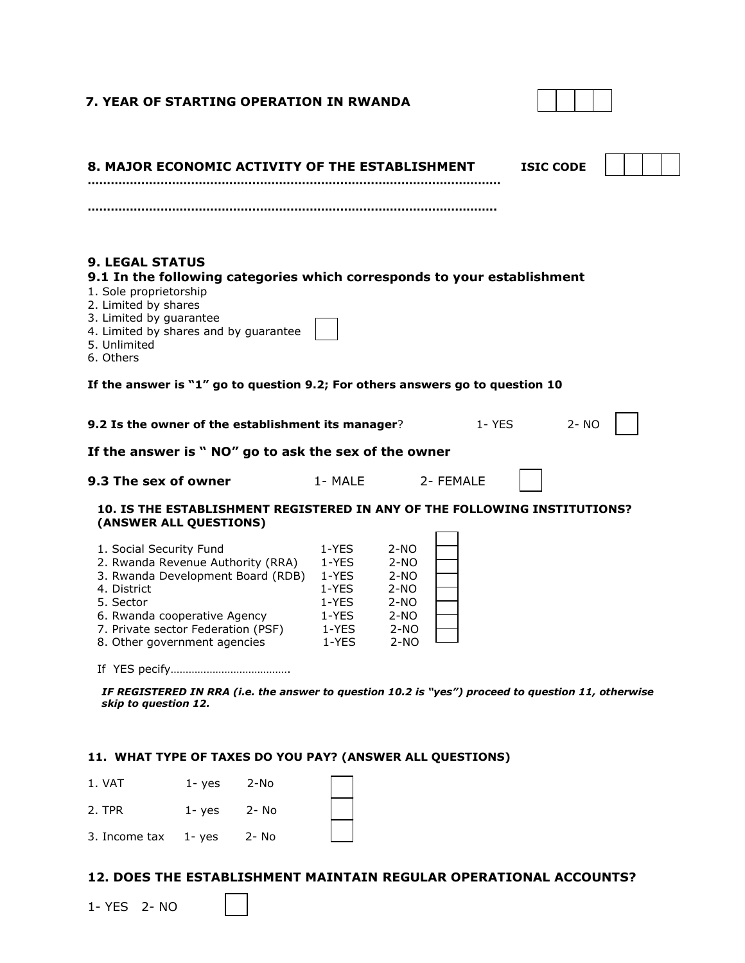| 7. YEAR OF STARTING OPERATION IN RWANDA                                                                                                                                                                                             |                                                                      |                                                                        |           |                  |  |
|-------------------------------------------------------------------------------------------------------------------------------------------------------------------------------------------------------------------------------------|----------------------------------------------------------------------|------------------------------------------------------------------------|-----------|------------------|--|
| 8. MAJOR ECONOMIC ACTIVITY OF THE ESTABLISHMENT                                                                                                                                                                                     |                                                                      |                                                                        |           | <b>ISIC CODE</b> |  |
| <b>9. LEGAL STATUS</b><br>9.1 In the following categories which corresponds to your establishment<br>1. Sole proprietorship                                                                                                         |                                                                      |                                                                        |           |                  |  |
| 2. Limited by shares<br>3. Limited by guarantee<br>4. Limited by shares and by guarantee<br>5. Unlimited<br>6. Others                                                                                                               |                                                                      |                                                                        |           |                  |  |
| If the answer is "1" go to question 9.2; For others answers go to question 10                                                                                                                                                       |                                                                      |                                                                        |           |                  |  |
| 9.2 Is the owner of the establishment its manager?<br>$1 - YES$<br>$2 - NO$<br>If the answer is "NO" go to ask the sex of the owner                                                                                                 |                                                                      |                                                                        |           |                  |  |
| 9.3 The sex of owner                                                                                                                                                                                                                | 1- MALE                                                              |                                                                        | 2- FEMALE |                  |  |
| 10. IS THE ESTABLISHMENT REGISTERED IN ANY OF THE FOLLOWING INSTITUTIONS?<br>(ANSWER ALL QUESTIONS)                                                                                                                                 |                                                                      |                                                                        |           |                  |  |
| 1. Social Security Fund<br>2. Rwanda Revenue Authority (RRA)<br>3. Rwanda Development Board (RDB)<br>4. District<br>5. Sector<br>6. Rwanda cooperative Agency<br>7. Private sector Federation (PSF)<br>8. Other government agencies | 1-YES<br>1-YES<br>1-YES<br>1-YES<br>1-YES<br>1-YES<br>1-YES<br>1-YES | $2-NO$<br>$2-NO$<br>2-NO<br>2-NO<br>$2-NO$<br>2-NO<br>$2-NO$<br>$2-NO$ |           |                  |  |
|                                                                                                                                                                                                                                     |                                                                      |                                                                        |           |                  |  |

*IF REGISTERED IN RRA (i.e. the answer to question 10.2 is "yes") proceed to question 11, otherwise skip to question 12.* 

## **11. WHAT TYPE OF TAXES DO YOU PAY? (ANSWER ALL QUESTIONS)**

| 1. VAT                   | $1 - y$ es | 2-No  |  |
|--------------------------|------------|-------|--|
| 2. TPR                   | $1 - yes$  | 2- No |  |
| 3. Income $tax$ 1- $yes$ |            | 2- No |  |

## **12. DOES THE ESTABLISHMENT MAINTAIN REGULAR OPERATIONAL ACCOUNTS?**

1- YES 2- NO